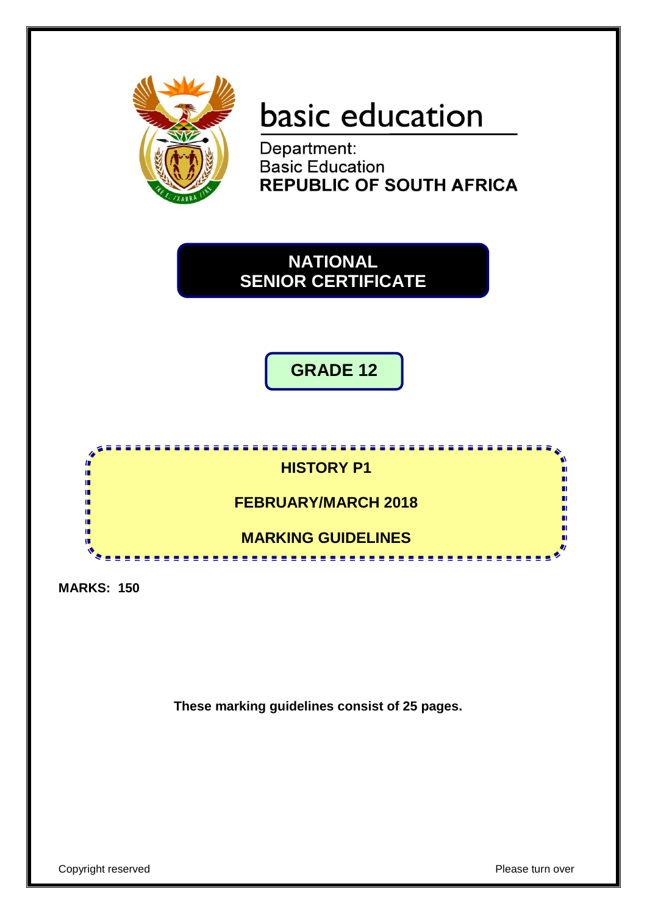

# basic education

Department: **Basic Education REPUBLIC OF SOUTH AFRICA** 



**GRADE 12**



**MARKS: 150**

**These marking guidelines consist of 25 pages.**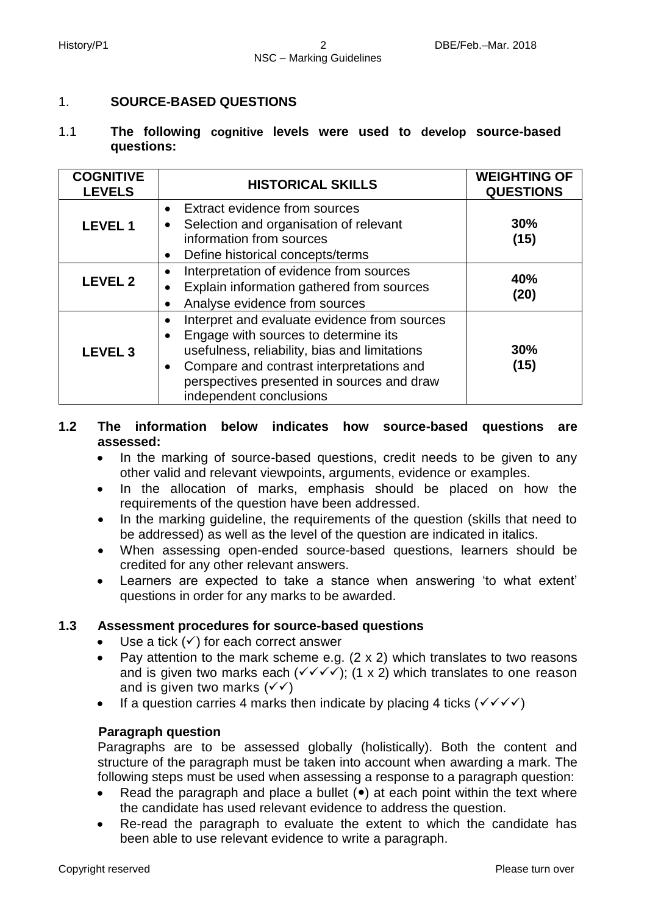# 1. **SOURCE-BASED QUESTIONS**

#### 1.1 **The following cognitive levels were used to develop source-based questions:**

| <b>COGNITIVE</b><br><b>LEVELS</b> | <b>HISTORICAL SKILLS</b>                                                                                                                                                                                                                                                                          | <b>WEIGHTING OF</b><br><b>QUESTIONS</b> |
|-----------------------------------|---------------------------------------------------------------------------------------------------------------------------------------------------------------------------------------------------------------------------------------------------------------------------------------------------|-----------------------------------------|
| <b>LEVEL1</b>                     | • Extract evidence from sources<br>Selection and organisation of relevant<br>$\bullet$<br>information from sources<br>Define historical concepts/terms<br>$\bullet$                                                                                                                               | 30%<br>(15)                             |
| <b>LEVEL 2</b>                    | Interpretation of evidence from sources<br>$\bullet$<br>Explain information gathered from sources<br>$\bullet$<br>Analyse evidence from sources<br>$\bullet$                                                                                                                                      | 40%<br>(20)                             |
| <b>LEVEL 3</b>                    | Interpret and evaluate evidence from sources<br>$\bullet$<br>Engage with sources to determine its<br>$\bullet$<br>usefulness, reliability, bias and limitations<br>Compare and contrast interpretations and<br>$\bullet$<br>perspectives presented in sources and draw<br>independent conclusions | 30%<br>(15)                             |

#### **1.2 The information below indicates how source-based questions are assessed:**

- In the marking of source-based questions, credit needs to be given to any other valid and relevant viewpoints, arguments, evidence or examples.
- In the allocation of marks, emphasis should be placed on how the requirements of the question have been addressed.
- In the marking guideline, the requirements of the question (skills that need to be addressed) as well as the level of the question are indicated in italics.
- When assessing open-ended source-based questions, learners should be credited for any other relevant answers.
- Learners are expected to take a stance when answering 'to what extent' questions in order for any marks to be awarded.

# **1.3 Assessment procedures for source-based questions**

- Use a tick  $(\checkmark)$  for each correct answer
- Pay attention to the mark scheme e.g. (2 x 2) which translates to two reasons and is given two marks each ( $\checkmark$   $\checkmark$   $\checkmark$ ); (1 x 2) which translates to one reason and is given two marks  $(\sqrt{\sqrt})$
- If a question carries 4 marks then indicate by placing 4 ticks ( $\checkmark$   $\checkmark$   $\checkmark$ )

#### **Paragraph question**

Paragraphs are to be assessed globally (holistically). Both the content and structure of the paragraph must be taken into account when awarding a mark. The following steps must be used when assessing a response to a paragraph question:

- Read the paragraph and place a bullet  $(•)$  at each point within the text where the candidate has used relevant evidence to address the question.
- Re-read the paragraph to evaluate the extent to which the candidate has been able to use relevant evidence to write a paragraph.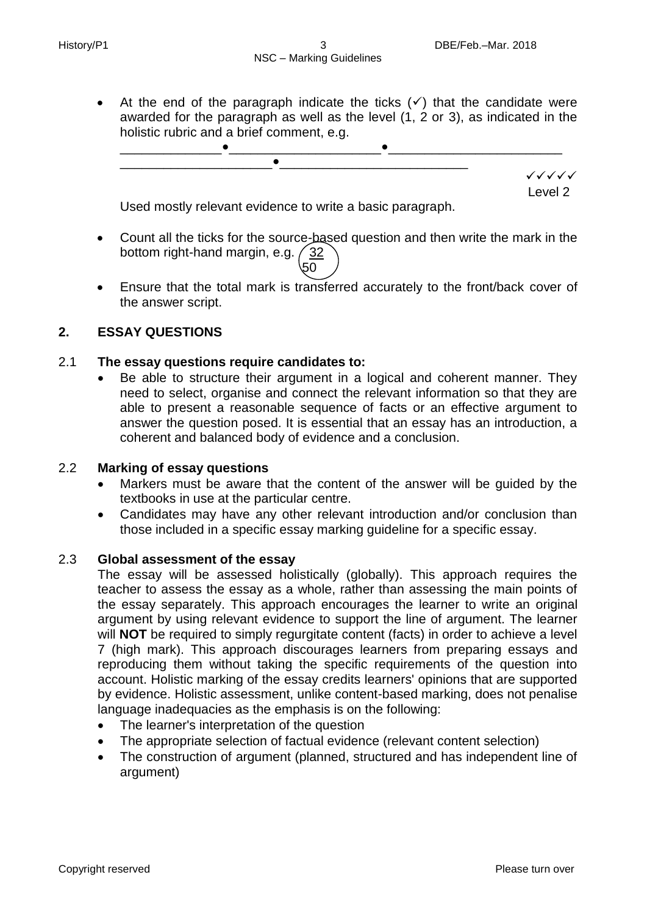• At the end of the paragraph indicate the ticks  $(v)$  that the candidate were awarded for the paragraph as well as the level (1, 2 or 3), as indicated in the holistic rubric and a brief comment, e.g.



Used mostly relevant evidence to write a basic paragraph.

- Count all the ticks for the source-based question and then write the mark in the bottom right-hand margin, e.g.  $\frac{32}{2}$  $\sqrt{50}$
- Ensure that the total mark is transferred accurately to the front/back cover of the answer script.

#### **2. ESSAY QUESTIONS**

#### 2.1 **The essay questions require candidates to:**

 Be able to structure their argument in a logical and coherent manner. They need to select, organise and connect the relevant information so that they are able to present a reasonable sequence of facts or an effective argument to answer the question posed. It is essential that an essay has an introduction, a coherent and balanced body of evidence and a conclusion.

#### 2.2 **Marking of essay questions**

- Markers must be aware that the content of the answer will be guided by the textbooks in use at the particular centre.
- Candidates may have any other relevant introduction and/or conclusion than those included in a specific essay marking guideline for a specific essay.

#### 2.3 **Global assessment of the essay**

The essay will be assessed holistically (globally). This approach requires the teacher to assess the essay as a whole, rather than assessing the main points of the essay separately. This approach encourages the learner to write an original argument by using relevant evidence to support the line of argument. The learner will **NOT** be required to simply regurgitate content (facts) in order to achieve a level 7 (high mark). This approach discourages learners from preparing essays and reproducing them without taking the specific requirements of the question into account. Holistic marking of the essay credits learners' opinions that are supported by evidence. Holistic assessment, unlike content-based marking, does not penalise language inadequacies as the emphasis is on the following:

- The learner's interpretation of the question
- The appropriate selection of factual evidence (relevant content selection)
- The construction of argument (planned, structured and has independent line of argument)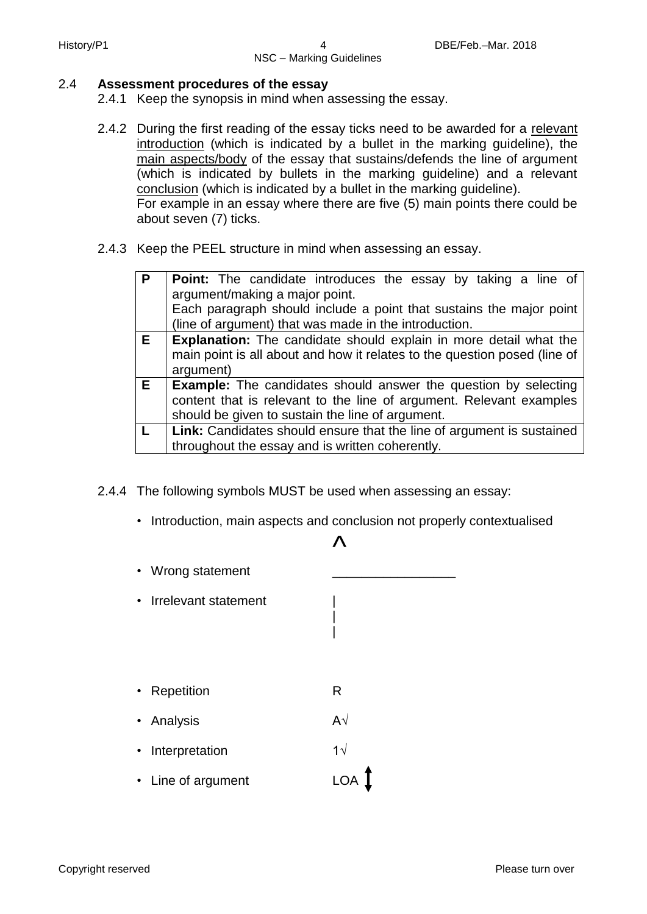### 2.4 **Assessment procedures of the essay**

- 2.4.1 Keep the synopsis in mind when assessing the essay.
- 2.4.2 During the first reading of the essay ticks need to be awarded for a relevant introduction (which is indicated by a bullet in the marking guideline), the main aspects/body of the essay that sustains/defends the line of argument (which is indicated by bullets in the marking guideline) and a relevant conclusion (which is indicated by a bullet in the marking guideline). For example in an essay where there are five (5) main points there could be about seven (7) ticks.
- 2.4.3 Keep the PEEL structure in mind when assessing an essay.

| P  | <b>Point:</b> The candidate introduces the essay by taking a line of<br>argument/making a major point.<br>Each paragraph should include a point that sustains the major point<br>(line of argument) that was made in the introduction. |
|----|----------------------------------------------------------------------------------------------------------------------------------------------------------------------------------------------------------------------------------------|
| E. | Explanation: The candidate should explain in more detail what the<br>main point is all about and how it relates to the question posed (line of<br>argument)                                                                            |
| E. | <b>Example:</b> The candidates should answer the question by selecting<br>content that is relevant to the line of argument. Relevant examples<br>should be given to sustain the line of argument.                                      |
|    | Link: Candidates should ensure that the line of argument is sustained<br>throughout the essay and is written coherently.                                                                                                               |

- 2.4.4 The following symbols MUST be used when assessing an essay:
	- Introduction, main aspects and conclusion not properly contextualised

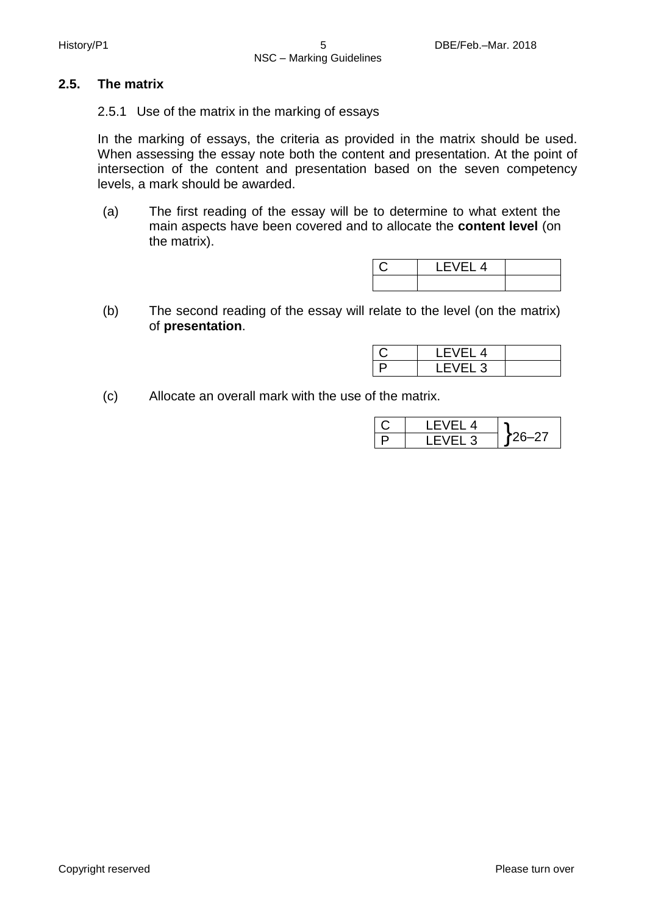#### **2.5. The matrix**

2.5.1 Use of the matrix in the marking of essays

In the marking of essays, the criteria as provided in the matrix should be used. When assessing the essay note both the content and presentation. At the point of intersection of the content and presentation based on the seven competency levels, a mark should be awarded.

(a) The first reading of the essay will be to determine to what extent the main aspects have been covered and to allocate the **content level** (on the matrix).

| I FVFI 4 |  |  |
|----------|--|--|
|          |  |  |

(b) The second reading of the essay will relate to the level (on the matrix) of **presentation**.

| -14   |  |
|-------|--|
| ิ L 3 |  |

(c) Allocate an overall mark with the use of the matrix.

| IFVFL4 |      |
|--------|------|
| $-1.3$ | i-27 |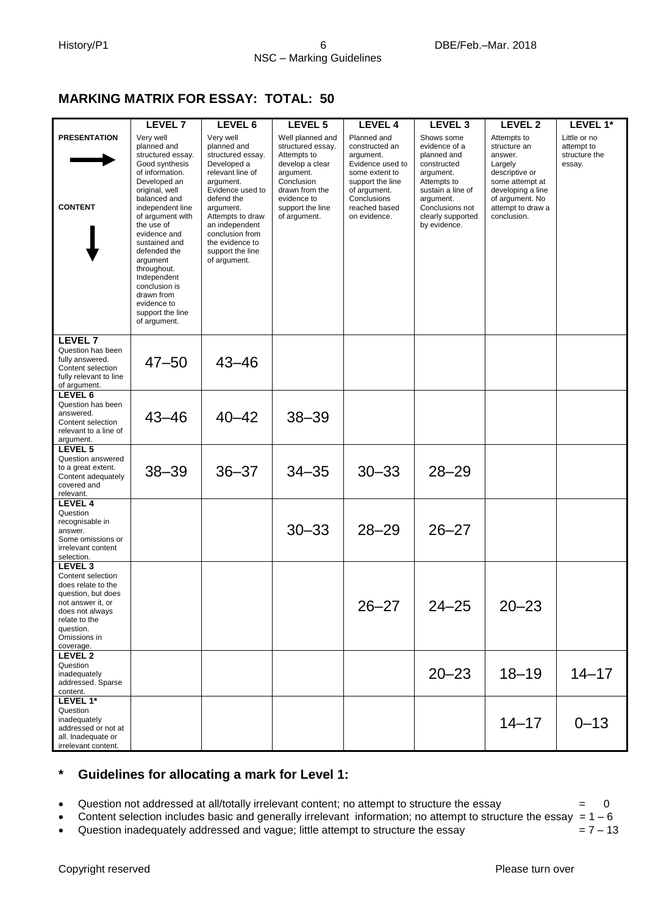# **MARKING MATRIX FOR ESSAY: TOTAL: 50**

|                                                                                                                                                                                        | LEVEL <sub>7</sub>                                                                                                                                                                                                                                                                                                                                                      | LEVEL 6                                                                                                                                                                                                                                                      | LEVEL 5                                                                                                                                                                 | <b>LEVEL 4</b>                                                                                                                                                       | LEVEL <sub>3</sub>                                                                                                                                                              | LEVEL <sub>2</sub>                                                                                                                                                 | LEVEL 1*                                              |
|----------------------------------------------------------------------------------------------------------------------------------------------------------------------------------------|-------------------------------------------------------------------------------------------------------------------------------------------------------------------------------------------------------------------------------------------------------------------------------------------------------------------------------------------------------------------------|--------------------------------------------------------------------------------------------------------------------------------------------------------------------------------------------------------------------------------------------------------------|-------------------------------------------------------------------------------------------------------------------------------------------------------------------------|----------------------------------------------------------------------------------------------------------------------------------------------------------------------|---------------------------------------------------------------------------------------------------------------------------------------------------------------------------------|--------------------------------------------------------------------------------------------------------------------------------------------------------------------|-------------------------------------------------------|
| <b>PRESENTATION</b><br><b>CONTENT</b>                                                                                                                                                  | Very well<br>planned and<br>structured essay.<br>Good synthesis<br>of information.<br>Developed an<br>original, well<br>balanced and<br>independent line<br>of argument with<br>the use of<br>evidence and<br>sustained and<br>defended the<br>argument<br>throughout.<br>Independent<br>conclusion is<br>drawn from<br>evidence to<br>support the line<br>of argument. | Very well<br>planned and<br>structured essay.<br>Developed a<br>relevant line of<br>argument.<br>Evidence used to<br>defend the<br>argument.<br>Attempts to draw<br>an independent<br>conclusion from<br>the evidence to<br>support the line<br>of argument. | Well planned and<br>structured essay.<br>Attempts to<br>develop a clear<br>argument.<br>Conclusion<br>drawn from the<br>evidence to<br>support the line<br>of argument. | Planned and<br>constructed an<br>argument.<br>Evidence used to<br>some extent to<br>support the line<br>of argument.<br>Conclusions<br>reached based<br>on evidence. | Shows some<br>evidence of a<br>planned and<br>constructed<br>argument.<br>Attempts to<br>sustain a line of<br>argument.<br>Conclusions not<br>clearly supported<br>by evidence. | Attempts to<br>structure an<br>answer.<br>Largely<br>descriptive or<br>some attempt at<br>developing a line<br>of argument. No<br>attempt to draw a<br>conclusion. | Little or no<br>attempt to<br>structure the<br>essay. |
| <b>LEVEL 7</b><br>Question has been<br>fully answered.<br>Content selection<br>fully relevant to line<br>of argument.                                                                  | $47 - 50$                                                                                                                                                                                                                                                                                                                                                               | $43 - 46$                                                                                                                                                                                                                                                    |                                                                                                                                                                         |                                                                                                                                                                      |                                                                                                                                                                                 |                                                                                                                                                                    |                                                       |
| LEVEL 6<br>Question has been<br>answered.<br>Content selection<br>relevant to a line of<br>argument.                                                                                   | $43 - 46$                                                                                                                                                                                                                                                                                                                                                               | $40 - 42$                                                                                                                                                                                                                                                    | $38 - 39$                                                                                                                                                               |                                                                                                                                                                      |                                                                                                                                                                                 |                                                                                                                                                                    |                                                       |
| LEVEL 5<br>Question answered<br>to a great extent.<br>Content adequately<br>covered and<br>relevant.                                                                                   | $38 - 39$                                                                                                                                                                                                                                                                                                                                                               | $36 - 37$                                                                                                                                                                                                                                                    | $34 - 35$                                                                                                                                                               | $30 - 33$                                                                                                                                                            | $28 - 29$                                                                                                                                                                       |                                                                                                                                                                    |                                                       |
| LEVEL 4<br>Question<br>recognisable in<br>answer.<br>Some omissions or<br>irrelevant content<br>selection.                                                                             |                                                                                                                                                                                                                                                                                                                                                                         |                                                                                                                                                                                                                                                              | $30 - 33$                                                                                                                                                               | $28 - 29$                                                                                                                                                            | $26 - 27$                                                                                                                                                                       |                                                                                                                                                                    |                                                       |
| LEVEL <sub>3</sub><br>Content selection<br>does relate to the<br>question, but does<br>not answer it, or<br>does not always<br>relate to the<br>question.<br>Omissions in<br>coverage. |                                                                                                                                                                                                                                                                                                                                                                         |                                                                                                                                                                                                                                                              |                                                                                                                                                                         | $26 - 27$                                                                                                                                                            | $24 - 25$                                                                                                                                                                       | $20 - 23$                                                                                                                                                          |                                                       |
| LEVEL <sub>2</sub><br>Question<br>inadequately<br>addressed. Sparse<br>content.                                                                                                        |                                                                                                                                                                                                                                                                                                                                                                         |                                                                                                                                                                                                                                                              |                                                                                                                                                                         |                                                                                                                                                                      | $20 - 23$                                                                                                                                                                       | $18 - 19$                                                                                                                                                          | $14 - 17$                                             |
| LEVEL 1*<br>Question<br>inadequately<br>addressed or not at<br>all. Inadequate or<br>irrelevant content.                                                                               |                                                                                                                                                                                                                                                                                                                                                                         |                                                                                                                                                                                                                                                              |                                                                                                                                                                         |                                                                                                                                                                      |                                                                                                                                                                                 | $14 - 17$                                                                                                                                                          | $0 - 13$                                              |

### **\* Guidelines for allocating a mark for Level 1:**

Question not addressed at all/totally irrelevant content; no attempt to structure the essay  $= 0$ 

Content selection includes basic and generally irrelevant information; no attempt to structure the essay =  $1 - 6$ 

• Question inadequately addressed and vague; little attempt to structure the essay  $= 7 - 13$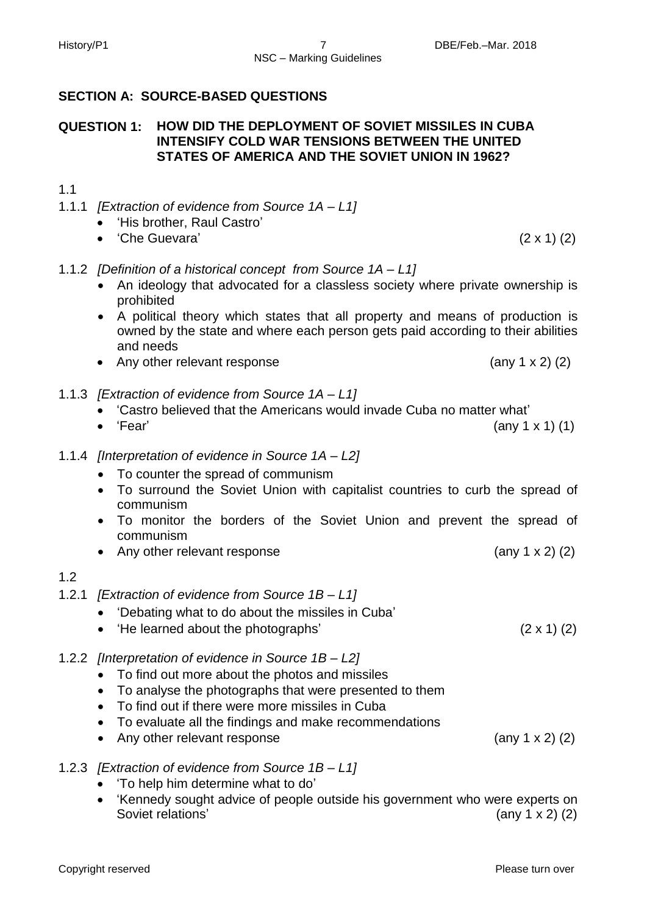# **SECTION A: SOURCE-BASED QUESTIONS**

#### **QUESTION 1: HOW DID THE DEPLOYMENT OF SOVIET MISSILES IN CUBA INTENSIFY COLD WAR TENSIONS BETWEEN THE UNITED STATES OF AMERICA AND THE SOVIET UNION IN 1962?**

#### 1.1

- 1.1.1 *[Extraction of evidence from Source 1A – L1]*
	- 'His brother, Raul Castro'
	- 'Che Guevara'  $(2 \times 1)$   $(2)$

#### 1.1.2 *[Definition of a historical concept from Source 1A – L1]*

- An ideology that advocated for a classless society where private ownership is prohibited
- A political theory which states that all property and means of production is owned by the state and where each person gets paid according to their abilities and needs
- Any other relevant response (any 1 x 2) (2)
- 1.1.3 *[Extraction of evidence from Source 1A – L1]*
	- 'Castro believed that the Americans would invade Cuba no matter what'
	- $'Fear'$  (any 1 x 1) (1)
- 1.1.4 *[Interpretation of evidence in Source 1A – L2]*
	- To counter the spread of communism
	- To surround the Soviet Union with capitalist countries to curb the spread of communism
	- To monitor the borders of the Soviet Union and prevent the spread of communism
	- Any other relevant response (any 1 x 2) (2)

# 1.2

- 1.2.1 *[Extraction of evidence from Source 1B – L1]*
	- 'Debating what to do about the missiles in Cuba'
	- 'He learned about the photographs'  $(2 \times 1)$   $(2)$
- 1.2.2 *[Interpretation of evidence in Source 1B – L2]*
	- To find out more about the photos and missiles
	- To analyse the photographs that were presented to them
	- To find out if there were more missiles in Cuba
	- To evaluate all the findings and make recommendations
	- Any other relevant response (any 1 x 2) (2)
- 1.2.3 *[Extraction of evidence from Source 1B – L1]*
	- 'To help him determine what to do'
	- 'Kennedy sought advice of people outside his government who were experts on Soviet relations' (any 1 x 2) (2)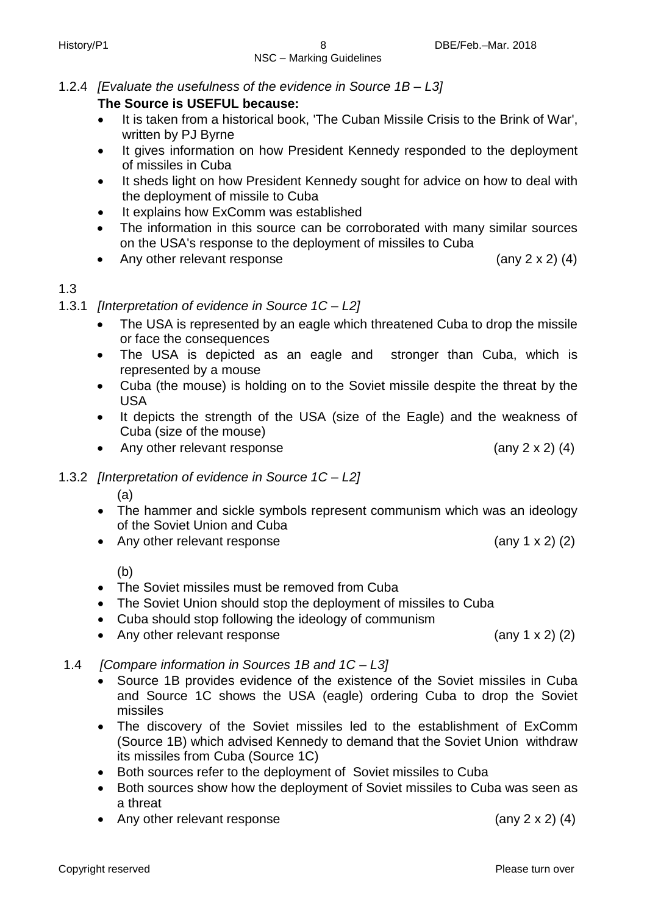1.2.4 *[Evaluate the usefulness of the evidence in Source 1B – L3]*

#### **The Source is USEFUL because:**

- It is taken from a historical book, 'The Cuban Missile Crisis to the Brink of War', written by PJ Byrne
- It gives information on how President Kennedy responded to the deployment of missiles in Cuba
- It sheds light on how President Kennedy sought for advice on how to deal with the deployment of missile to Cuba
- It explains how ExComm was established
- The information in this source can be corroborated with many similar sources on the USA's response to the deployment of missiles to Cuba
- Any other relevant response (any 2 x 2) (4)

#### 1.3

#### 1.3.1 *[Interpretation of evidence in Source 1C – L2]*

- The USA is represented by an eagle which threatened Cuba to drop the missile or face the consequences
- The USA is depicted as an eagle and stronger than Cuba, which is represented by a mouse
- Cuba (the mouse) is holding on to the Soviet missile despite the threat by the USA
- It depicts the strength of the USA (size of the Eagle) and the weakness of Cuba (size of the mouse)
- Any other relevant response (any 2 x 2) (4)

# 1.3.2 *[Interpretation of evidence in Source 1C – L2]*

 $(a)$ 

- The hammer and sickle symbols represent communism which was an ideology of the Soviet Union and Cuba
- Any other relevant response (any 1 x 2) (2)

(b)

- The Soviet missiles must be removed from Cuba
- The Soviet Union should stop the deployment of missiles to Cuba
- Cuba should stop following the ideology of communism
- Any other relevant response (any 1 x 2) (2)
- 1.4 *[Compare information in Sources 1B and 1C – L3]*
	- Source 1B provides evidence of the existence of the Soviet missiles in Cuba and Source 1C shows the USA (eagle) ordering Cuba to drop the Soviet missiles
	- The discovery of the Soviet missiles led to the establishment of ExComm (Source 1B) which advised Kennedy to demand that the Soviet Union withdraw its missiles from Cuba (Source 1C)
	- Both sources refer to the deployment of Soviet missiles to Cuba
	- Both sources show how the deployment of Soviet missiles to Cuba was seen as a threat
	- Any other relevant response (any 2 x 2) (4)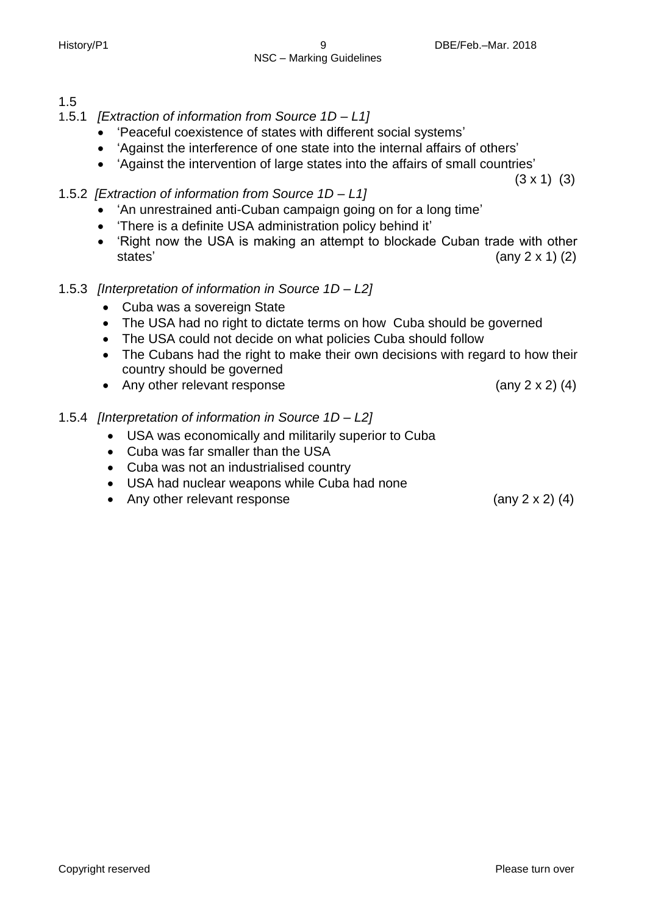#### History/P1 9 DBE/Feb.–Mar. 2018 NSC – Marking Guidelines

#### 1.5

- 1.5.1 *[Extraction of information from Source 1D – L1]*
	- 'Peaceful coexistence of states with different social systems'
	- 'Against the interference of one state into the internal affairs of others'
	- 'Against the intervention of large states into the affairs of small countries'

 $(3 \times 1)$   $(3)$ 

- 1.5.2 *[Extraction of information from Source 1D – L1]*
	- 'An unrestrained anti-Cuban campaign going on for a long time'
	- 'There is a definite USA administration policy behind it'
	- 'Right now the USA is making an attempt to blockade Cuban trade with other states'  $(\text{any } 2 \times 1)$   $(2)$
- 1.5.3 *[Interpretation of information in Source 1D – L2]*
	- Cuba was a sovereign State
	- The USA had no right to dictate terms on how Cuba should be governed
	- The USA could not decide on what policies Cuba should follow
	- The Cubans had the right to make their own decisions with regard to how their country should be governed
	- Any other relevant response (any 2 x 2) (4)

#### 1.5.4 *[Interpretation of information in Source 1D – L2]*

- USA was economically and militarily superior to Cuba
- Cuba was far smaller than the USA
- Cuba was not an industrialised country
- USA had nuclear weapons while Cuba had none
- Any other relevant response (any 2 x 2) (4)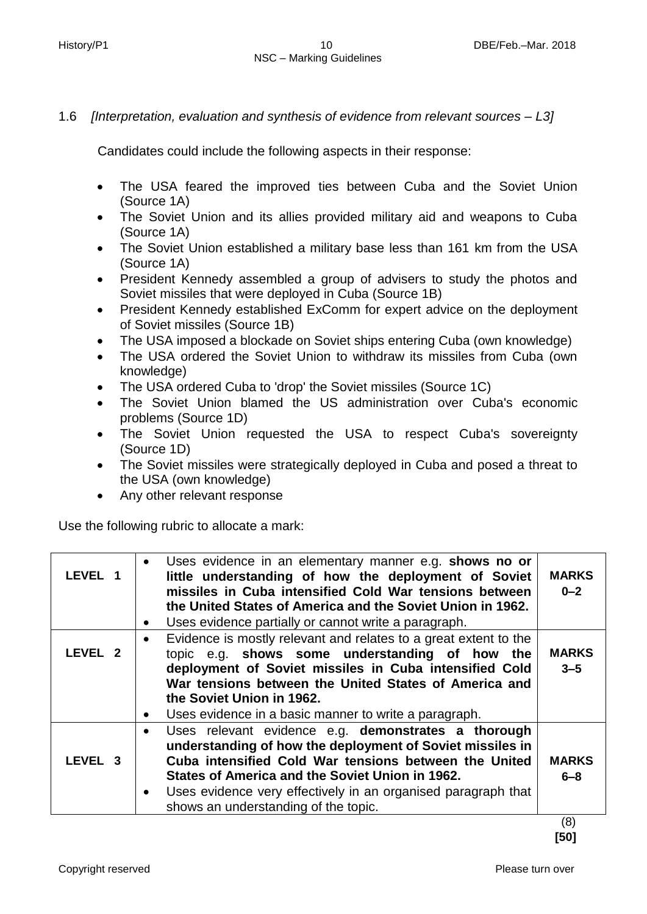1.6 *[Interpretation, evaluation and synthesis of evidence from relevant sources – L3]*

Candidates could include the following aspects in their response:

- The USA feared the improved ties between Cuba and the Soviet Union (Source 1A)
- The Soviet Union and its allies provided military aid and weapons to Cuba (Source 1A)
- The Soviet Union established a military base less than 161 km from the USA (Source 1A)
- President Kennedy assembled a group of advisers to study the photos and Soviet missiles that were deployed in Cuba (Source 1B)
- President Kennedy established ExComm for expert advice on the deployment of Soviet missiles (Source 1B)
- The USA imposed a blockade on Soviet ships entering Cuba (own knowledge)
- The USA ordered the Soviet Union to withdraw its missiles from Cuba (own knowledge)
- The USA ordered Cuba to 'drop' the Soviet missiles (Source 1C)
- The Soviet Union blamed the US administration over Cuba's economic problems (Source 1D)
- The Soviet Union requested the USA to respect Cuba's sovereignty (Source 1D)
- The Soviet missiles were strategically deployed in Cuba and posed a threat to the USA (own knowledge)
- Any other relevant response

Use the following rubric to allocate a mark:

| LEVEL 1            | Uses evidence in an elementary manner e.g. shows no or<br>little understanding of how the deployment of Soviet<br>missiles in Cuba intensified Cold War tensions between<br>the United States of America and the Soviet Union in 1962.<br>Uses evidence partially or cannot write a paragraph.                                           | <b>MARKS</b><br>$0 - 2$ |
|--------------------|------------------------------------------------------------------------------------------------------------------------------------------------------------------------------------------------------------------------------------------------------------------------------------------------------------------------------------------|-------------------------|
| LEVEL <sub>2</sub> | Evidence is mostly relevant and relates to a great extent to the<br>$\bullet$<br>topic e.g. shows some understanding of how the<br>deployment of Soviet missiles in Cuba intensified Cold<br>War tensions between the United States of America and<br>the Soviet Union in 1962.<br>Uses evidence in a basic manner to write a paragraph. | <b>MARKS</b><br>$3 - 5$ |
| LEVEL 3            | Uses relevant evidence e.g. demonstrates a thorough<br>understanding of how the deployment of Soviet missiles in<br>Cuba intensified Cold War tensions between the United<br>States of America and the Soviet Union in 1962.<br>Uses evidence very effectively in an organised paragraph that<br>shows an understanding of the topic.    | <b>MARKS</b><br>$6 - 8$ |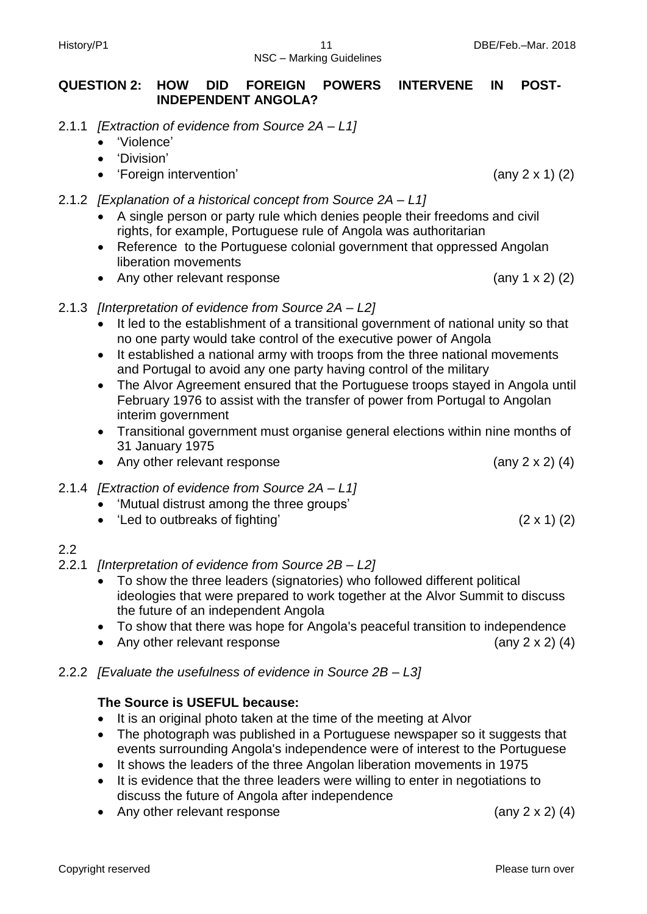#### **QUESTION 2: HOW DID FOREIGN POWERS INTERVENE IN POST-INDEPENDENT ANGOLA?**

- 2.1.1 *[Extraction of evidence from Source 2A – L1]*
	- 'Violence'
	- 'Division'
	- 'Foreign intervention' (any 2 x 1) (2)
- 2.1.2 *[Explanation of a historical concept from Source 2A – L1]*
	- A single person or party rule which denies people their freedoms and civil rights, for example, Portuguese rule of Angola was authoritarian
	- Reference to the Portuguese colonial government that oppressed Angolan liberation movements
	- Any other relevant response (any 1 x 2) (2)
- 2.1.3 *[Interpretation of evidence from Source 2A – L2]*
	- It led to the establishment of a transitional government of national unity so that no one party would take control of the executive power of Angola
	- It established a national army with troops from the three national movements and Portugal to avoid any one party having control of the military
	- The Alvor Agreement ensured that the Portuguese troops stayed in Angola until February 1976 to assist with the transfer of power from Portugal to Angolan interim government
	- Transitional government must organise general elections within nine months of 31 January 1975
	- Any other relevant response (any 2 x 2) (4)
- 2.1.4 *[Extraction of evidence from Source 2A – L1]* 
	- 'Mutual distrust among the three groups'
	- 'Led to outbreaks of fighting'  $(2 \times 1)$  (2)

# 2.2

- 2.2.1 *[Interpretation of evidence from Source 2B – L2]*
	- To show the three leaders (signatories) who followed different political ideologies that were prepared to work together at the Alvor Summit to discuss the future of an independent Angola
	- To show that there was hope for Angola's peaceful transition to independence
	- Any other relevant response (any 2 x 2) (4)
- 2.2.2 *[Evaluate the usefulness of evidence in Source 2B – L3]*

#### **The Source is USEFUL because:**

- It is an original photo taken at the time of the meeting at Alvor
- The photograph was published in a Portuguese newspaper so it suggests that events surrounding Angola's independence were of interest to the Portuguese
- It shows the leaders of the three Angolan liberation movements in 1975
- It is evidence that the three leaders were willing to enter in negotiations to discuss the future of Angola after independence
- Any other relevant response (any 2 x 2) (4)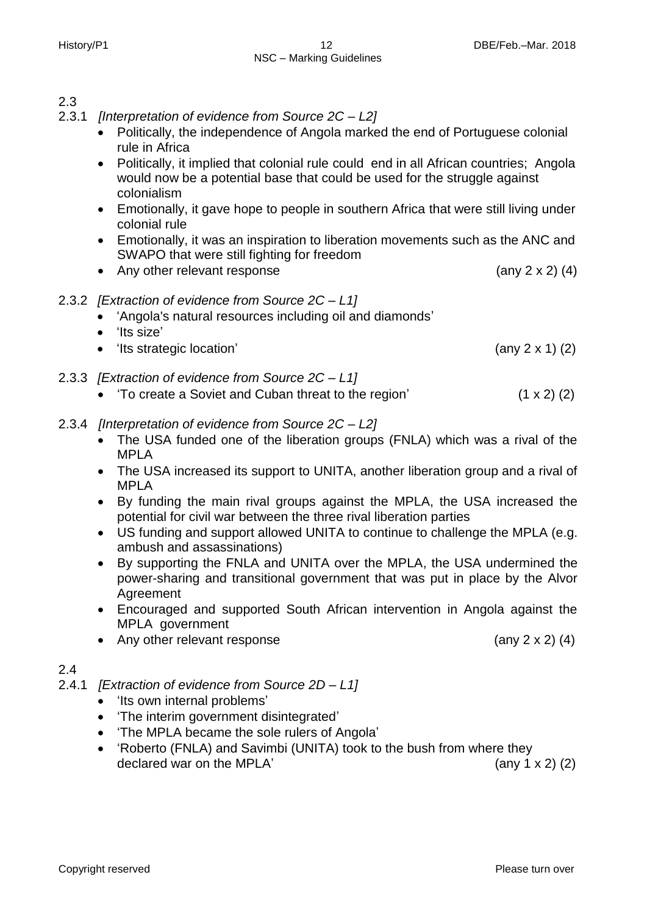#### 2.3

- 2.3.1 *[Interpretation of evidence from Source 2C – L2]*
	- Politically, the independence of Angola marked the end of Portuguese colonial rule in Africa
	- Politically, it implied that colonial rule could end in all African countries; Angola would now be a potential base that could be used for the struggle against colonialism
	- Emotionally, it gave hope to people in southern Africa that were still living under colonial rule
	- Emotionally, it was an inspiration to liberation movements such as the ANC and SWAPO that were still fighting for freedom
	- Any other relevant response (any 2 x 2) (4)

#### 2.3.2 *[Extraction of evidence from Source 2C – L1]*

- 'Angola's natural resources including oil and diamonds'
- 'Its size' 'Its strategic location' (any 2 x 1) (2)
- 2.3.3 *[Extraction of evidence from Source 2C – L1]*
	- To create a Soviet and Cuban threat to the region'  $(1 \times 2)$  (2)
- 2.3.4 *[Interpretation of evidence from Source 2C – L2]*
	- The USA funded one of the liberation groups (FNLA) which was a rival of the MPLA
	- The USA increased its support to UNITA, another liberation group and a rival of MPI A
	- By funding the main rival groups against the MPLA, the USA increased the potential for civil war between the three rival liberation parties
	- US funding and support allowed UNITA to continue to challenge the MPLA (e.g. ambush and assassinations)
	- By supporting the FNLA and UNITA over the MPLA, the USA undermined the power-sharing and transitional government that was put in place by the Alvor Agreement
	- Encouraged and supported South African intervention in Angola against the MPLA government
	- Any other relevant response (any 2 x 2) (4)

#### 2.4

- 2.4.1 *[Extraction of evidence from Source 2D – L1]*
	- 'Its own internal problems'
	- 'The interim government disintegrated'
	- 'The MPLA became the sole rulers of Angola'
	- 'Roberto (FNLA) and Savimbi (UNITA) took to the bush from where they declared war on the MPLA'  $(2)$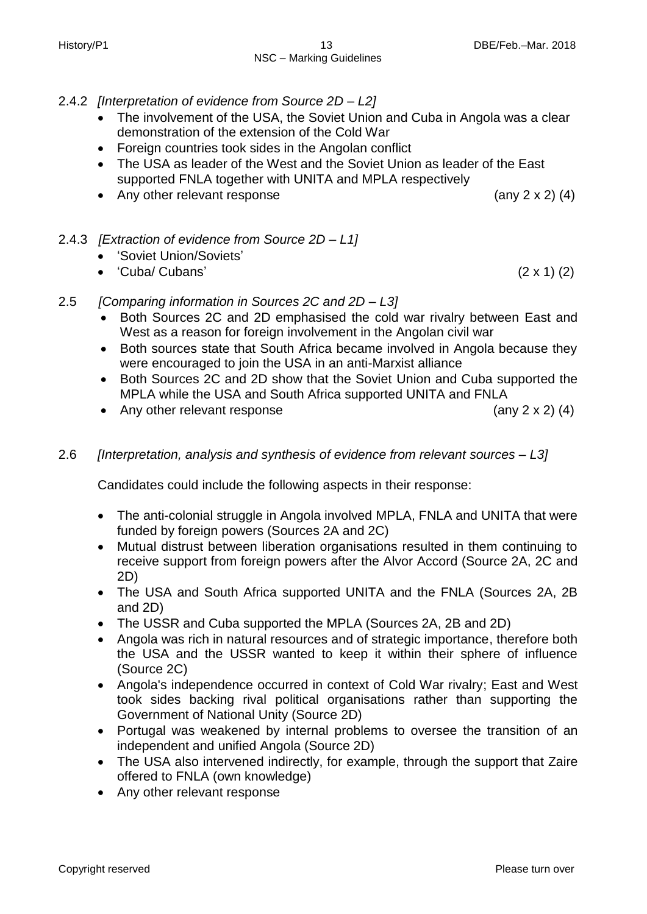- 2.4.2 *[Interpretation of evidence from Source 2D – L2]*
	- The involvement of the USA, the Soviet Union and Cuba in Angola was a clear demonstration of the extension of the Cold War
	- Foreign countries took sides in the Angolan conflict
	- The USA as leader of the West and the Soviet Union as leader of the East supported FNLA together with UNITA and MPLA respectively
	- Any other relevant response (any 2 x 2) (4)

#### 2.4.3 *[Extraction of evidence from Source 2D – L1]*

- 'Soviet Union/Soviets'
- 'Cuba/ Cubans'  $(2 \times 1)$   $(2)$
- 2.5 *[Comparing information in Sources 2C and 2D – L3]*
	- Both Sources 2C and 2D emphasised the cold war rivalry between East and West as a reason for foreign involvement in the Angolan civil war
	- Both sources state that South Africa became involved in Angola because they were encouraged to join the USA in an anti-Marxist alliance
	- Both Sources 2C and 2D show that the Soviet Union and Cuba supported the MPLA while the USA and South Africa supported UNITA and FNLA
	- Any other relevant response (any 2 x 2) (4)

#### 2.6 *[Interpretation, analysis and synthesis of evidence from relevant sources – L3]*

Candidates could include the following aspects in their response:

- The anti-colonial struggle in Angola involved MPLA, FNLA and UNITA that were funded by foreign powers (Sources 2A and 2C)
- Mutual distrust between liberation organisations resulted in them continuing to receive support from foreign powers after the Alvor Accord (Source 2A, 2C and 2D)
- The USA and South Africa supported UNITA and the FNLA (Sources 2A, 2B) and 2D)
- The USSR and Cuba supported the MPLA (Sources 2A, 2B and 2D)
- Angola was rich in natural resources and of strategic importance, therefore both the USA and the USSR wanted to keep it within their sphere of influence (Source 2C)
- Angola's independence occurred in context of Cold War rivalry; East and West took sides backing rival political organisations rather than supporting the Government of National Unity (Source 2D)
- Portugal was weakened by internal problems to oversee the transition of an independent and unified Angola (Source 2D)
- The USA also intervened indirectly, for example, through the support that Zaire offered to FNLA (own knowledge)
- Any other relevant response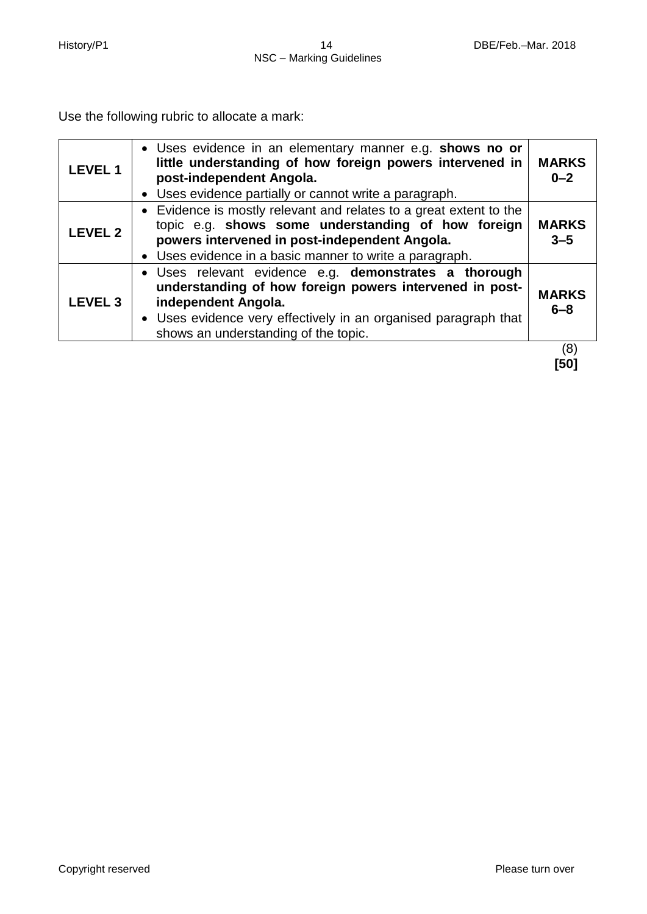Use the following rubric to allocate a mark:

| <b>LEVEL 1</b>     | • Uses evidence in an elementary manner e.g. shows no or<br>little understanding of how foreign powers intervened in<br>post-independent Angola.<br>• Uses evidence partially or cannot write a paragraph.                                         | <b>MARKS</b><br>$0 - 2$ |
|--------------------|----------------------------------------------------------------------------------------------------------------------------------------------------------------------------------------------------------------------------------------------------|-------------------------|
| <b>LEVEL 2</b>     | • Evidence is mostly relevant and relates to a great extent to the<br>topic e.g. shows some understanding of how foreign<br>powers intervened in post-independent Angola.<br>• Uses evidence in a basic manner to write a paragraph.               | <b>MARKS</b><br>$3 - 5$ |
| LEVEL <sub>3</sub> | · Uses relevant evidence e.g. demonstrates a thorough<br>understanding of how foreign powers intervened in post-<br>independent Angola.<br>• Uses evidence very effectively in an organised paragraph that<br>shows an understanding of the topic. | <b>MARKS</b><br>$6 - 8$ |
|                    |                                                                                                                                                                                                                                                    | (8)                     |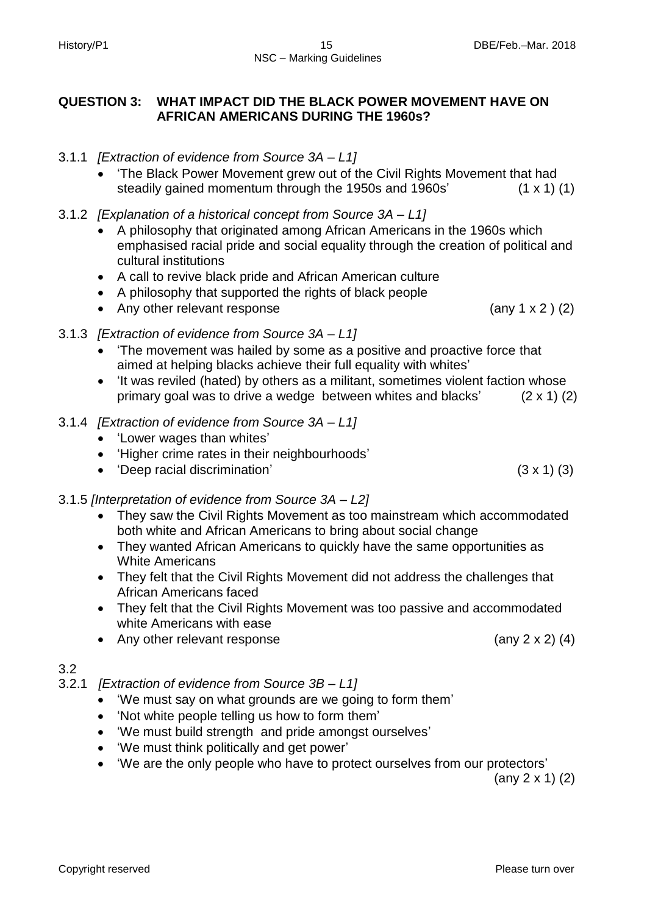#### **QUESTION 3: WHAT IMPACT DID THE BLACK POWER MOVEMENT HAVE ON AFRICAN AMERICANS DURING THE 1960s?**

- 3.1.1 *[Extraction of evidence from Source 3A – L1]*
	- 'The Black Power Movement grew out of the Civil Rights Movement that had steadily gained momentum through the 1950s and 1960s' (1 x 1) (1)
- 3.1.2 *[Explanation of a historical concept from Source 3A – L1]*
	- A philosophy that originated among African Americans in the 1960s which emphasised racial pride and social equality through the creation of political and cultural institutions
	- A call to revive black pride and African American culture
	- A philosophy that supported the rights of black people
	- Any other relevant response (any 1 x 2 ) (2)

# 3.1.3 *[Extraction of evidence from Source 3A – L1]*

- 'The movement was hailed by some as a positive and proactive force that aimed at helping blacks achieve their full equality with whites'
- 'It was reviled (hated) by others as a militant, sometimes violent faction whose primary goal was to drive a wedge between whites and blacks'  $(2 \times 1)$  (2)
- 3.1.4 *[Extraction of evidence from Source 3A – L1]* 
	- 'Lower wages than whites'
	- 'Higher crime rates in their neighbourhoods'
	- 'Deep racial discrimination' (3 x 1) (3)
- 3.1.5 *[Interpretation of evidence from Source 3A – L2]*
	- They saw the Civil Rights Movement as too mainstream which accommodated both white and African Americans to bring about social change
	- They wanted African Americans to quickly have the same opportunities as White Americans
	- They felt that the Civil Rights Movement did not address the challenges that African Americans faced
	- They felt that the Civil Rights Movement was too passive and accommodated white Americans with ease
	- Any other relevant response (any 2 x 2) (4)

# 3.2

- 3.2.1 *[Extraction of evidence from Source 3B – L1]*
	- 'We must say on what grounds are we going to form them'
	- 'Not white people telling us how to form them'
	- 'We must build strength and pride amongst ourselves'
	- 'We must think politically and get power'
	- 'We are the only people who have to protect ourselves from our protectors'

(any 2 x 1) (2)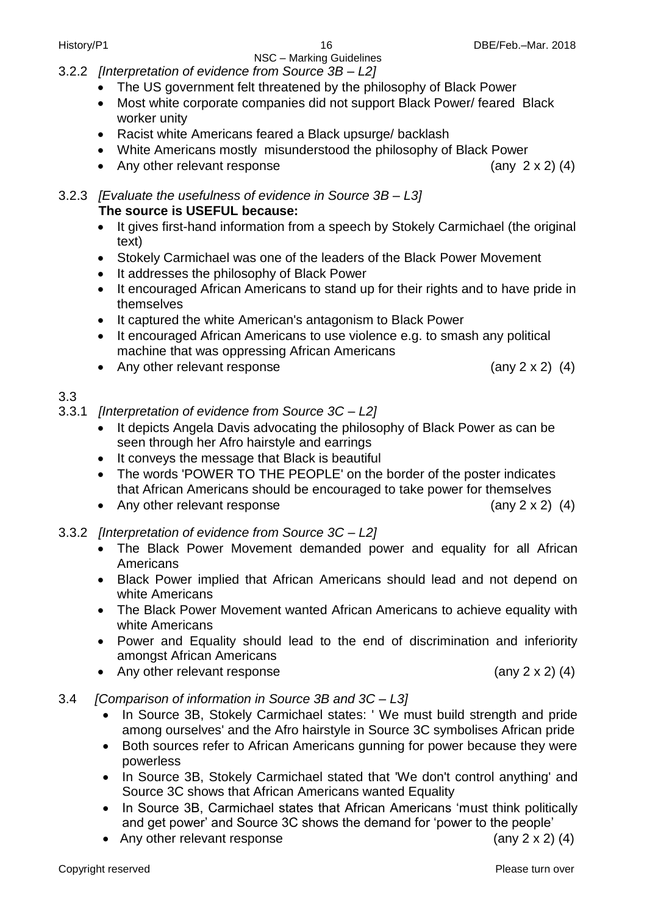- NSC Marking Guidelines
- 3.2.2 *[Interpretation of evidence from Source 3B – L2]*
	- The US government felt threatened by the philosophy of Black Power
	- Most white corporate companies did not support Black Power/ feared Black worker unity
	- Racist white Americans feared a Black upsurge/ backlash
	- White Americans mostly misunderstood the philosophy of Black Power
	- Any other relevant response (any 2 x 2) (4)

3.2.3 *[Evaluate the usefulness of evidence in Source 3B – L3]* **The source is USEFUL because:**

- It gives first-hand information from a speech by Stokely Carmichael (the original text)
- Stokely Carmichael was one of the leaders of the Black Power Movement
- It addresses the philosophy of Black Power
- It encouraged African Americans to stand up for their rights and to have pride in themselves
- It captured the white American's antagonism to Black Power
- It encouraged African Americans to use violence e.g. to smash any political machine that was oppressing African Americans
- Any other relevant response (any 2 x 2) (4)

3.3

- 3.3.1 *[Interpretation of evidence from Source 3C – L2]*
	- It depicts Angela Davis advocating the philosophy of Black Power as can be seen through her Afro hairstyle and earrings
	- It conveys the message that Black is beautiful
	- The words 'POWER TO THE PEOPLE' on the border of the poster indicates that African Americans should be encouraged to take power for themselves
	- Any other relevant response (any 2 x 2) (4)
- 3.3.2 *[Interpretation of evidence from Source 3C – L2]*
	- The Black Power Movement demanded power and equality for all African Americans
	- Black Power implied that African Americans should lead and not depend on white Americans
	- The Black Power Movement wanted African Americans to achieve equality with white Americans
	- Power and Equality should lead to the end of discrimination and inferiority amongst African Americans
	- Any other relevant response (any 2 x 2) (4)
- 3.4 *[Comparison of information in Source 3B and 3C – L3]*
	- In Source 3B, Stokely Carmichael states: 'We must build strength and pride among ourselves' and the Afro hairstyle in Source 3C symbolises African pride
	- Both sources refer to African Americans gunning for power because they were powerless
	- In Source 3B, Stokely Carmichael stated that 'We don't control anything' and Source 3C shows that African Americans wanted Equality
	- In Source 3B, Carmichael states that African Americans 'must think politically and get power' and Source 3C shows the demand for 'power to the people'
	- Any other relevant response (any 2 x 2) (4)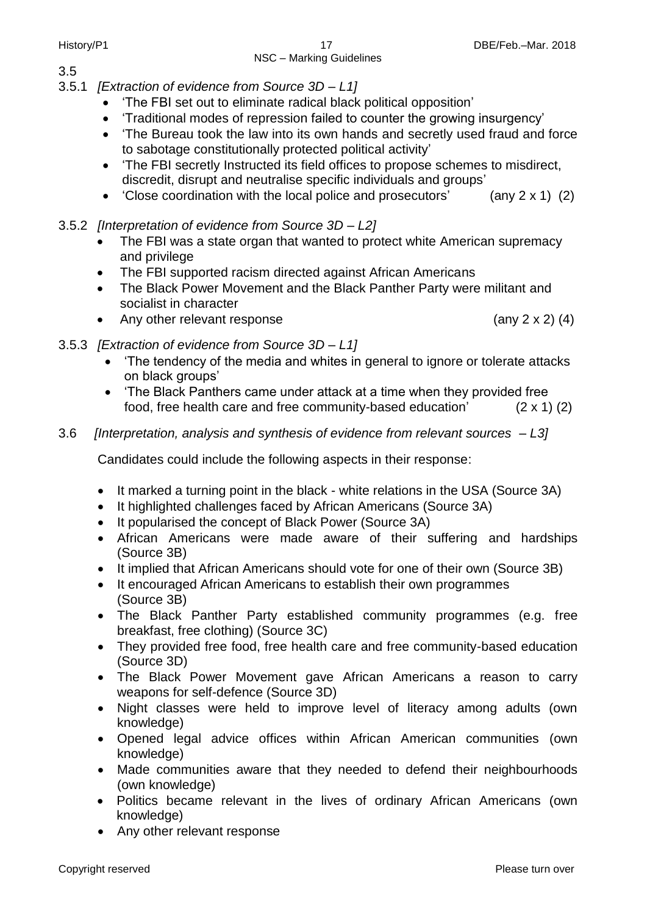Copyright reserved **Please turn over the Copyright reserved** Please turn over

- 3.5 3.5.1 *[Extraction of evidence from Source 3D – L1]*
	- 'The FBI set out to eliminate radical black political opposition'
	- 'Traditional modes of repression failed to counter the growing insurgency'
	- 'The Bureau took the law into its own hands and secretly used fraud and force to sabotage constitutionally protected political activity'
	- 'The FBI secretly Instructed its field offices to propose schemes to misdirect, discredit, disrupt and neutralise specific individuals and groups'
	- 'Close coordination with the local police and prosecutors' (any 2 x 1) (2)
- 3.5.2 *[Interpretation of evidence from Source 3D – L2]*
	- The FBI was a state organ that wanted to protect white American supremacy and privilege
	- The FBI supported racism directed against African Americans
	- The Black Power Movement and the Black Panther Party were militant and socialist in character
	- Any other relevant response  $(any 2 x 2) (4)$
- 3.5.3 *[Extraction of evidence from Source 3D – L1]*
	- 'The tendency of the media and whites in general to ignore or tolerate attacks on black groups'
	- 'The Black Panthers came under attack at a time when they provided free food, free health care and free community-based education' (2 x 1) (2)
- 3.6 *[Interpretation, analysis and synthesis of evidence from relevant sources – L3]*

Candidates could include the following aspects in their response:

- It marked a turning point in the black white relations in the USA (Source 3A)
- It highlighted challenges faced by African Americans (Source 3A)
- It popularised the concept of Black Power (Source 3A)
- African Americans were made aware of their suffering and hardships (Source 3B)
- It implied that African Americans should vote for one of their own (Source 3B)
- It encouraged African Americans to establish their own programmes (Source 3B)
- The Black Panther Party established community programmes (e.g. free breakfast, free clothing) (Source 3C)
- They provided free food, free health care and free community-based education (Source 3D)
- The Black Power Movement gave African Americans a reason to carry weapons for self-defence (Source 3D)
- Night classes were held to improve level of literacy among adults (own knowledge)
- Opened legal advice offices within African American communities (own knowledge)
- Made communities aware that they needed to defend their neighbourhoods (own knowledge)
- Politics became relevant in the lives of ordinary African Americans (own knowledge)
- Any other relevant response

NSC – Marking Guidelines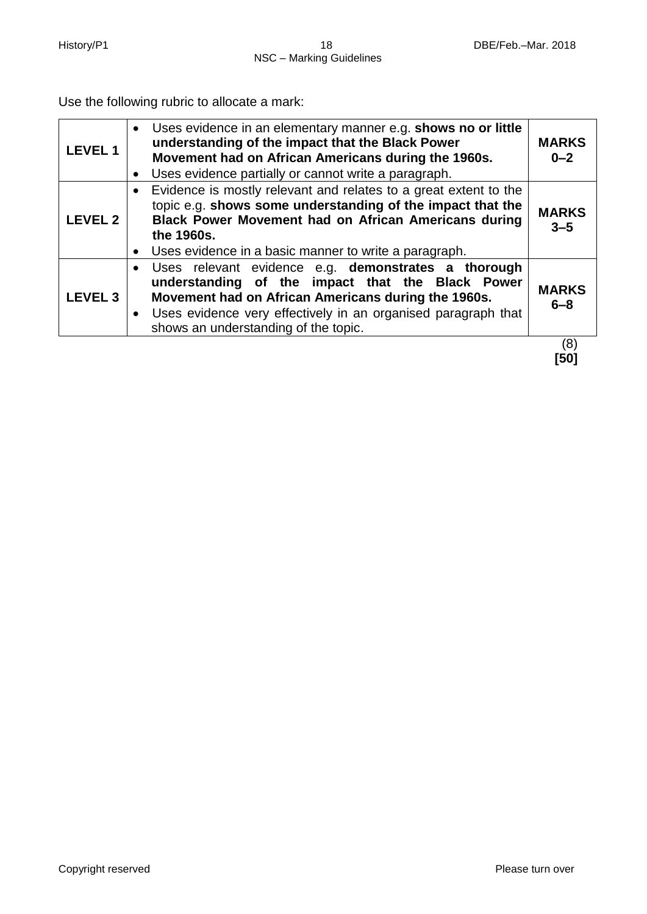Use the following rubric to allocate a mark:

| <b>LEVEL 1</b> | • Uses evidence in an elementary manner e.g. shows no or little<br>understanding of the impact that the Black Power<br>Movement had on African Americans during the 1960s.<br>Uses evidence partially or cannot write a paragraph.                                                     | <b>MARKS</b><br>$0 - 2$ |
|----------------|----------------------------------------------------------------------------------------------------------------------------------------------------------------------------------------------------------------------------------------------------------------------------------------|-------------------------|
| <b>LEVEL 2</b> | • Evidence is mostly relevant and relates to a great extent to the<br>topic e.g. shows some understanding of the impact that the<br>Black Power Movement had on African Americans during<br>the 1960s.<br>• Uses evidence in a basic manner to write a paragraph.                      | <b>MARKS</b><br>$3 - 5$ |
| <b>LEVEL 3</b> | Uses relevant evidence e.g. demonstrates a thorough<br>$\bullet$<br>understanding of the impact that the Black Power<br>Movement had on African Americans during the 1960s.<br>• Uses evidence very effectively in an organised paragraph that<br>shows an understanding of the topic. | <b>MARKS</b><br>$6 - 8$ |
|                |                                                                                                                                                                                                                                                                                        | (8)                     |

 **[50]**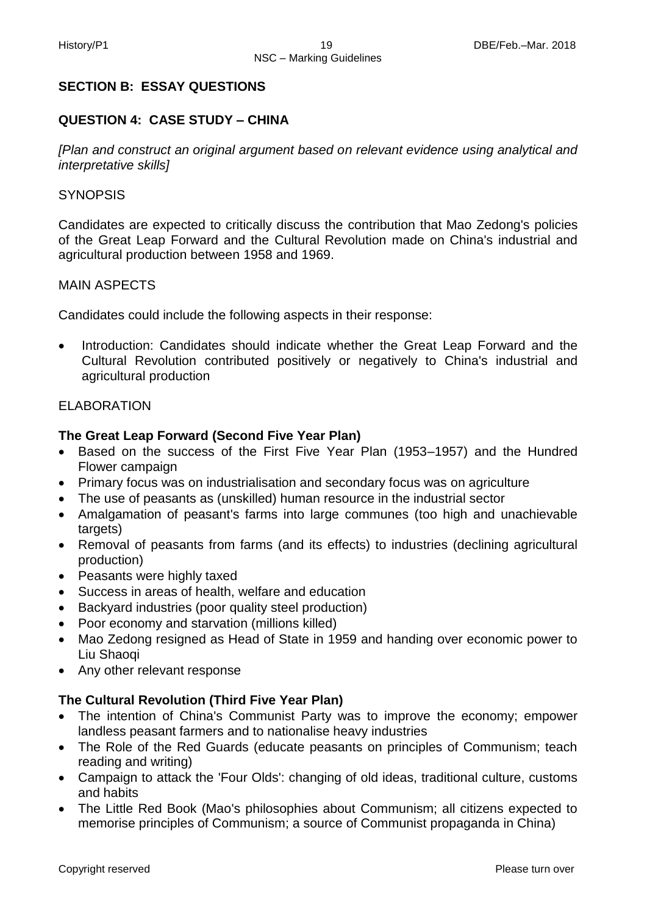# **SECTION B: ESSAY QUESTIONS**

# **QUESTION 4: CASE STUDY – CHINA**

*[Plan and construct an original argument based on relevant evidence using analytical and interpretative skills]*

#### **SYNOPSIS**

Candidates are expected to critically discuss the contribution that Mao Zedong's policies of the Great Leap Forward and the Cultural Revolution made on China's industrial and agricultural production between 1958 and 1969.

#### MAIN ASPECTS

Candidates could include the following aspects in their response:

 Introduction: Candidates should indicate whether the Great Leap Forward and the Cultural Revolution contributed positively or negatively to China's industrial and agricultural production

#### ELABORATION

#### **The Great Leap Forward (Second Five Year Plan)**

- Based on the success of the First Five Year Plan (1953–1957) and the Hundred Flower campaign
- Primary focus was on industrialisation and secondary focus was on agriculture
- The use of peasants as (unskilled) human resource in the industrial sector
- Amalgamation of peasant's farms into large communes (too high and unachievable targets)
- Removal of peasants from farms (and its effects) to industries (declining agricultural production)
- Peasants were highly taxed
- Success in areas of health, welfare and education
- Backyard industries (poor quality steel production)
- Poor economy and starvation (millions killed)
- Mao Zedong resigned as Head of State in 1959 and handing over economic power to Liu Shaoqi
- Any other relevant response

#### **The Cultural Revolution (Third Five Year Plan)**

- The intention of China's Communist Party was to improve the economy; empower landless peasant farmers and to nationalise heavy industries
- The Role of the Red Guards (educate peasants on principles of Communism; teach reading and writing)
- Campaign to attack the 'Four Olds': changing of old ideas, traditional culture, customs and habits
- The Little Red Book (Mao's philosophies about Communism; all citizens expected to memorise principles of Communism; a source of Communist propaganda in China)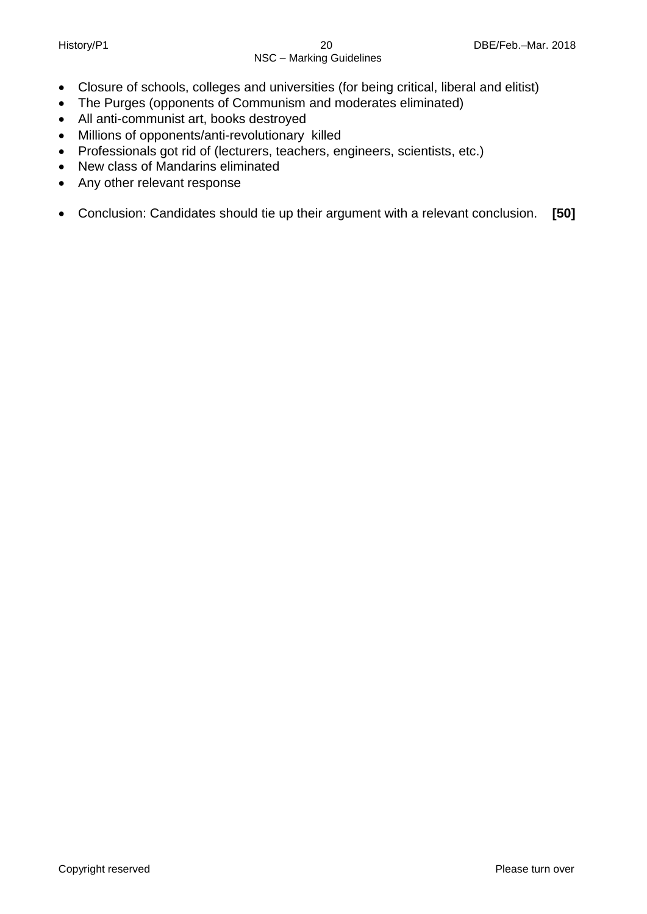#### NSC – Marking Guidelines

- Closure of schools, colleges and universities (for being critical, liberal and elitist)
- The Purges (opponents of Communism and moderates eliminated)
- All anti-communist art, books destroyed
- Millions of opponents/anti-revolutionary killed
- Professionals got rid of (lecturers, teachers, engineers, scientists, etc.)
- New class of Mandarins eliminated
- Any other relevant response
- Conclusion: Candidates should tie up their argument with a relevant conclusion. **[50]**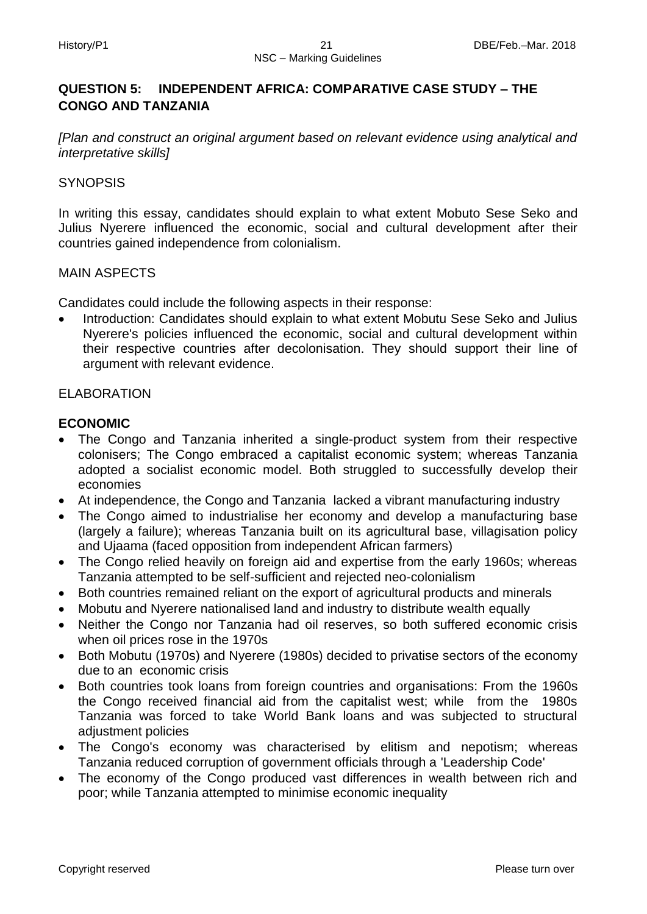# **QUESTION 5: INDEPENDENT AFRICA: COMPARATIVE CASE STUDY – THE CONGO AND TANZANIA**

*[Plan and construct an original argument based on relevant evidence using analytical and interpretative skills]*

#### **SYNOPSIS**

In writing this essay, candidates should explain to what extent Mobuto Sese Seko and Julius Nyerere influenced the economic, social and cultural development after their countries gained independence from colonialism.

#### MAIN ASPECTS

Candidates could include the following aspects in their response:

 Introduction: Candidates should explain to what extent Mobutu Sese Seko and Julius Nyerere's policies influenced the economic, social and cultural development within their respective countries after decolonisation. They should support their line of argument with relevant evidence.

#### ELABORATION

#### **ECONOMIC**

- The Congo and Tanzania inherited a single-product system from their respective colonisers; The Congo embraced a capitalist economic system; whereas Tanzania adopted a socialist economic model. Both struggled to successfully develop their economies
- At independence, the Congo and Tanzania lacked a vibrant manufacturing industry
- The Congo aimed to industrialise her economy and develop a manufacturing base (largely a failure); whereas Tanzania built on its agricultural base, villagisation policy and Ujaama (faced opposition from independent African farmers)
- The Congo relied heavily on foreign aid and expertise from the early 1960s; whereas Tanzania attempted to be self-sufficient and rejected neo-colonialism
- Both countries remained reliant on the export of agricultural products and minerals
- Mobutu and Nyerere nationalised land and industry to distribute wealth equally
- Neither the Congo nor Tanzania had oil reserves, so both suffered economic crisis when oil prices rose in the 1970s
- Both Mobutu (1970s) and Nyerere (1980s) decided to privatise sectors of the economy due to an economic crisis
- Both countries took loans from foreign countries and organisations: From the 1960s the Congo received financial aid from the capitalist west; while from the 1980s Tanzania was forced to take World Bank loans and was subjected to structural adjustment policies
- The Congo's economy was characterised by elitism and nepotism; whereas Tanzania reduced corruption of government officials through a 'Leadership Code'
- The economy of the Congo produced vast differences in wealth between rich and poor; while Tanzania attempted to minimise economic inequality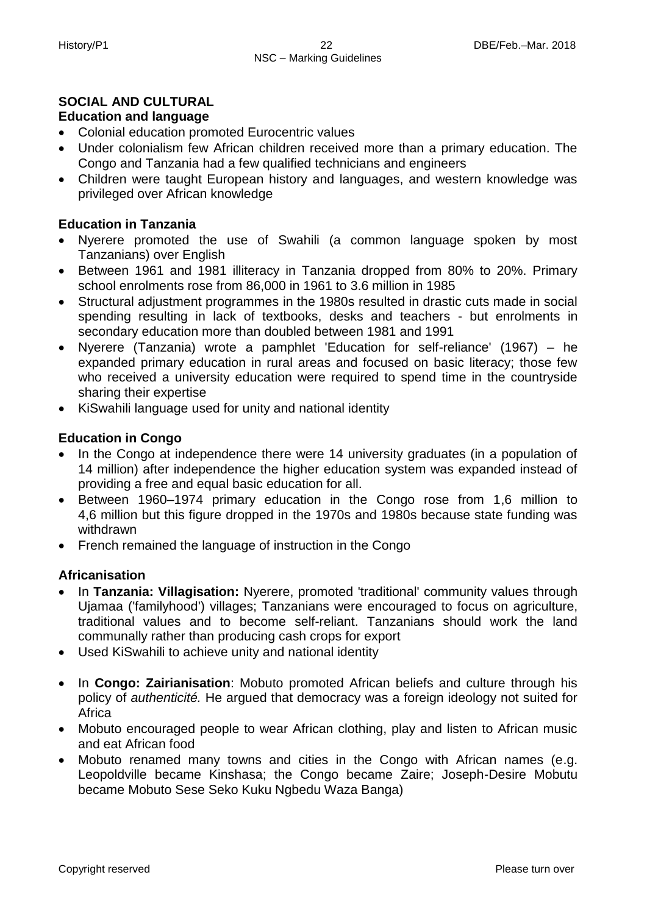#### **SOCIAL AND CULTURAL**

#### **Education and language**

- Colonial education promoted Eurocentric values
- Under colonialism few African children received more than a primary education. The Congo and Tanzania had a few qualified technicians and engineers
- Children were taught European history and languages, and western knowledge was privileged over African knowledge

#### **Education in Tanzania**

- Nyerere promoted the use of Swahili (a common language spoken by most Tanzanians) over English
- Between 1961 and 1981 illiteracy in Tanzania dropped from 80% to 20%. Primary school enrolments rose from 86,000 in 1961 to 3.6 million in 1985
- Structural adjustment programmes in the 1980s resulted in drastic cuts made in social spending resulting in lack of textbooks, desks and teachers - but enrolments in secondary education more than doubled between 1981 and 1991
- Nyerere (Tanzania) wrote a pamphlet 'Education for self-reliance' (1967) he expanded primary education in rural areas and focused on basic literacy; those few who received a university education were required to spend time in the countryside sharing their expertise
- KiSwahili language used for unity and national identity

#### **Education in Congo**

- In the Congo at independence there were 14 university graduates (in a population of 14 million) after independence the higher education system was expanded instead of providing a free and equal basic education for all.
- Between 1960–1974 primary education in the Congo rose from 1,6 million to 4,6 million but this figure dropped in the 1970s and 1980s because state funding was withdrawn
- French remained the language of instruction in the Congo

#### **Africanisation**

- In **Tanzania: Villagisation:** Nyerere, promoted 'traditional' community values through Ujamaa ('familyhood') villages; Tanzanians were encouraged to focus on agriculture, traditional values and to become self-reliant. Tanzanians should work the land communally rather than producing cash crops for export
- Used KiSwahili to achieve unity and national identity
- In **Congo: Zairianisation**: Mobuto promoted African beliefs and culture through his policy of *authenticité.* He argued that democracy was a foreign ideology not suited for Africa
- Mobuto encouraged people to wear African clothing, play and listen to African music and eat African food
- Mobuto renamed many towns and cities in the Congo with African names (e.g. Leopoldville became Kinshasa; the Congo became Zaire; Joseph-Desire Mobutu became Mobuto Sese Seko Kuku Ngbedu Waza Banga)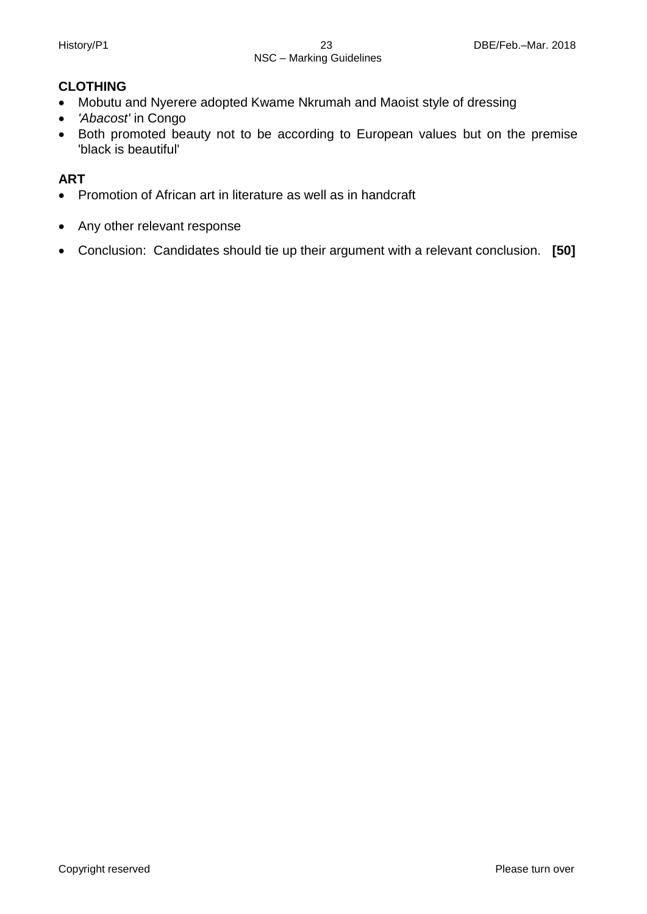# **CLOTHING**

- Mobutu and Nyerere adopted Kwame Nkrumah and Maoist style of dressing
- *'Abacost'* in Congo
- Both promoted beauty not to be according to European values but on the premise 'black is beautiful'

# **ART**

- Promotion of African art in literature as well as in handcraft
- Any other relevant response Ī
- Conclusion: Candidates should tie up their argument with a relevant conclusion. **[50]**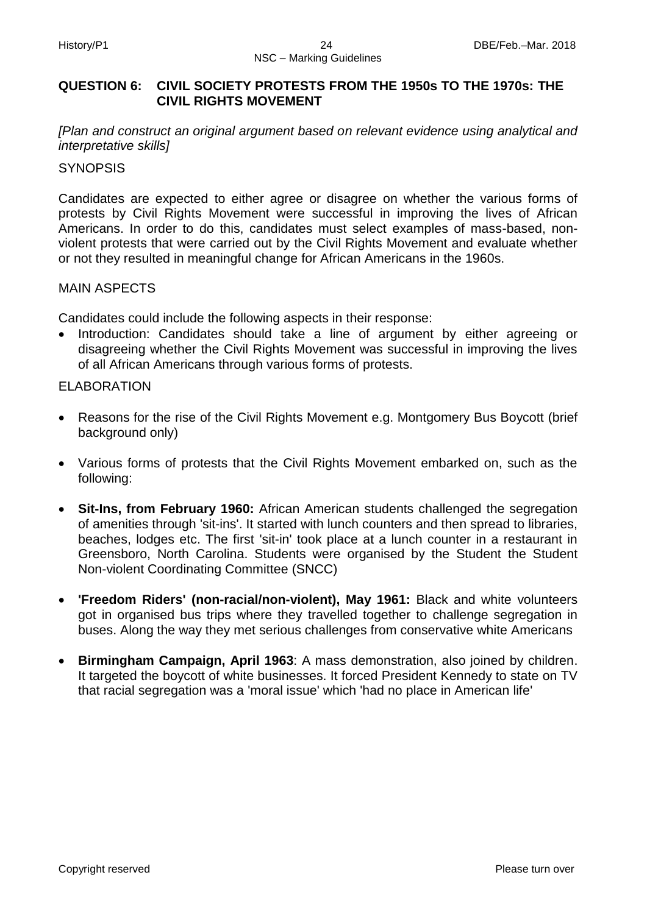#### **QUESTION 6: CIVIL SOCIETY PROTESTS FROM THE 1950s TO THE 1970s: THE CIVIL RIGHTS MOVEMENT**

*[Plan and construct an original argument based on relevant evidence using analytical and interpretative skills]*

#### **SYNOPSIS**

Candidates are expected to either agree or disagree on whether the various forms of protests by Civil Rights Movement were successful in improving the lives of African Americans. In order to do this, candidates must select examples of mass-based, nonviolent protests that were carried out by the Civil Rights Movement and evaluate whether or not they resulted in meaningful change for African Americans in the 1960s.

#### MAIN ASPECTS

Candidates could include the following aspects in their response:

 Introduction: Candidates should take a line of argument by either agreeing or disagreeing whether the Civil Rights Movement was successful in improving the lives of all African Americans through various forms of protests.

#### ELABORATION

- Reasons for the rise of the Civil Rights Movement e.g. Montgomery Bus Boycott (brief background only)
- Various forms of protests that the Civil Rights Movement embarked on, such as the following:
- **Sit-Ins, from February 1960:** African American students challenged the segregation of amenities through 'sit-ins'. It started with lunch counters and then spread to libraries, beaches, lodges etc. The first 'sit-in' took place at a lunch counter in a restaurant in Greensboro, North Carolina. Students were organised by the Student the Student Non-violent Coordinating Committee (SNCC)
- **'Freedom Riders' (non-racial/non-violent), May 1961:** Black and white volunteers got in organised bus trips where they travelled together to challenge segregation in buses. Along the way they met serious challenges from conservative white Americans
- **Birmingham Campaign, April 1963**: A mass demonstration, also joined by children. It targeted the boycott of white businesses. It forced President Kennedy to state on TV that racial segregation was a 'moral issue' which 'had no place in American life'